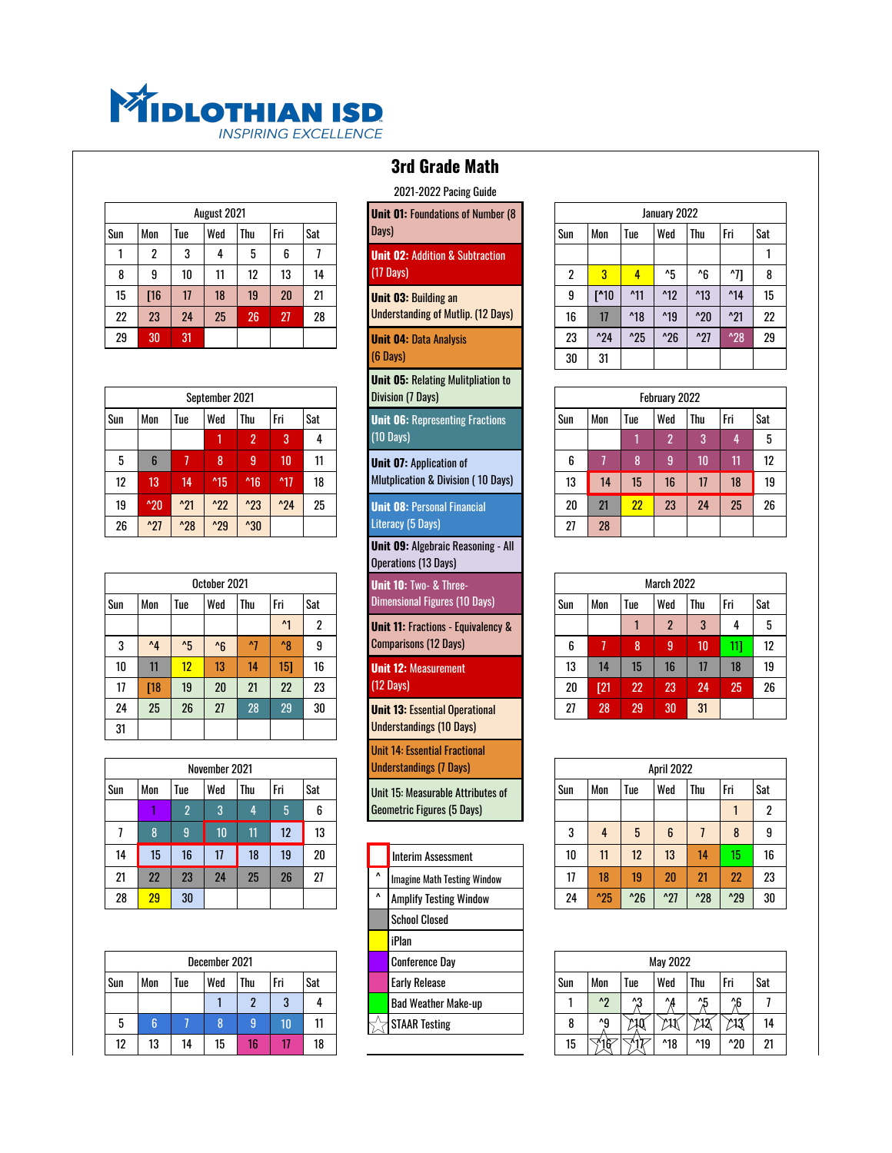

|     |     |     | August 2021 |     |     |     | <b>Unit 01: Foundations of Number (8)</b>  |     |                |                | January 2022   |                |                |                |
|-----|-----|-----|-------------|-----|-----|-----|--------------------------------------------|-----|----------------|----------------|----------------|----------------|----------------|----------------|
| Sun | Mon | Tue | l Wed       | Thu | Fri | Sat | Days)                                      | Sun | Mon            | Tue            | Wed            | Thu            | l Fri          | ' Sat          |
|     | ŋ   |     |             |     | 6   |     | <b>Unit 02: Addition &amp; Subtraction</b> |     |                |                |                |                |                |                |
| 8   | 9   | 10  |             | 12  | 13  | 14  | $(17 \text{ Davis})$                       | ŋ   | 3              | 4              | ^5             | ^հ             | <b>A71</b>     |                |
| 15  | Г16 | 17  | 18          | 19  | 20  | 21  | <b>Unit 03: Building an</b>                | 9   | $I^{\prime}10$ | $^{\prime}11$  | $^{\prime}$ 12 | $^{\prime}$ 13 | $^{\prime}$ 14 | 15             |
| 22  | 23  | 24  | 25          | 26  | 27  | 28  | <b>Understanding of Mutlip. (12 Days)</b>  | 16  | 17             | $^{\prime}$ 18 | $^{\prime}$ 19 | $^{\prime}20$  | $^{\prime}21$  | $2^{\prime}$   |
| 29  | 30  | 31  |             |     |     |     | <b>Unit 04: Data Analysis</b>              | 23  | $^{\prime}24$  | $^{\prime}25$  | $^{\prime}26$  | $^{\prime}27$  | $^{\prime}28$  | 2 <sup>0</sup> |

| <b>Division (7 Days)</b><br>September 2021                                                                                           |
|--------------------------------------------------------------------------------------------------------------------------------------|
| Thu<br>Fri<br>Sat<br>Mon<br>Wed<br>Tue<br>Sun<br><b>Unit 06: Representing Fractions</b>                                              |
| $(10 \text{ Davis})$<br>2<br>3<br>4                                                                                                  |
| 9<br>10<br>11<br>8<br>5<br>6<br><b>Unit 07: Application of</b>                                                                       |
| <b>Mutplication &amp; Division (10 Days)</b><br>12<br>$^{\prime}$ 17<br>18<br>13<br>$^{\prime}$ 15<br>$^4$ 16<br>14                  |
| $^{\prime}21$<br>$^{\prime}22$<br>$^{\prime}23$<br>$^{\prime}$ 24<br>25<br>19<br>$^{\prime}20$<br><b>Unit 08: Personal Financial</b> |
| Literacy (5 Days)<br>$^{\prime}27$<br>$^{\prime}30$<br>26<br>$^{\prime}28$<br>$^{\prime}29$                                          |

|     |              |     |              |            |                |              | <b>Unit 10: Two- &amp; Three-</b>             |     |                  |                  |     |     |            |                |
|-----|--------------|-----|--------------|------------|----------------|--------------|-----------------------------------------------|-----|------------------|------------------|-----|-----|------------|----------------|
| Sun | Mon          | Tue | Wed          | <b>Thu</b> | l Fri          | Sat          | <b>Dimensional Figures (10 Days)</b>          | Sun | Mon              | Tue              | Wed | Thu | l Fri      | Sat            |
|     |              |     |              |            | $\mathsf{A}$ 1 | $\mathbf{2}$ | <b>Unit 11: Fractions - Equivalency &amp;</b> |     |                  |                  | ი   |     | 4          | 5              |
| 3   | $^{\prime}4$ | ΛĘ  | $^{\prime}6$ | $\Lambda$  | $^{\prime}$ 8  | 9            | <b>Comparisons (12 Days)</b>                  | 6   |                  | 8                | 9   | 10  |            | 12             |
| 10  | 11           | 12  | 13           | 14         | 151            | 16           | <b>Unit 12: Measurement</b>                   | 13  | 14               | 15 <sub>15</sub> | 16  | 17  | 18         | 19             |
| 17  | $18$         | 19  | 20           | 21         | 22             | 23           | $(12 \text{ Davis})$                          | 20  | $\overline{121}$ | 22               | 23  | 24  | 25         | $\overline{2}$ |
| 24  | 25           | 26  | 27           | 28         | 29             | 30           | <b>Unit 13: Essential Operational</b>         | 27  | 28               | 29               | 30  | 31  |            |                |
| 31  |              |     |              |            |                |              | <b>Understandings (10 Days)</b>               |     |                  |                  |     |     |            |                |
|     |              |     |              |            | October 2021   |              |                                               |     |                  |                  |     |     | March 2022 |                |

|     |     |                | November 2021 |     |     |     |
|-----|-----|----------------|---------------|-----|-----|-----|
| Sun | Mon | Tue            | Wed           | Thu | Fri | Sat |
|     |     | $\overline{2}$ | 3             |     | 5   | 6   |
| 7   | 8   | $\overline{9}$ | 10            | 11  | 12  | 13  |
| 14  | 15  | 16             | 17            | 18  | 19  | 20  |
| 21  | 22  | 23             | 24            | 25  | 26  | 27  |
| 28  | 29  | 30             |               |     |     |     |

|     |          |     | December 2021 |           |        |     |  | Conference Day             |     |                        |     | May 2022       |                |               |             |
|-----|----------|-----|---------------|-----------|--------|-----|--|----------------------------|-----|------------------------|-----|----------------|----------------|---------------|-------------|
| Sun | Mon      | Tue | Wed           | Thu       | l Fri  | Sat |  | <b>Early Release</b>       | Sun | Mon                    | lue | Wed            | Thu            | l Fri         | ' Sat       |
|     |          |     |               |           | n<br>υ |     |  | <b>Bad Weather Make-up</b> |     | ΛO                     | Λ0  | $\Lambda$      | ΛE             | ^C            |             |
|     |          |     |               |           | 10     | 11  |  | <b>STAAR Testing</b>       |     | ^0                     | 710 | 711            |                | $\mu$         | 14          |
| 12  | 10<br>ιυ | 14  | 15            | 40<br>. . |        | 18  |  |                            | 15  | $\overline{\gamma}$ 16 | バイマ | $^{\prime}$ 18 | $^{\prime}$ 19 | $^{\prime}20$ | $2^{\circ}$ |

## 2021-2022 Pacing Guide **Unit 01: Foundations of Number (8** Days) **Unit 02: Addition & Subtraction** (17 Days) **Unit 03: Building an Unit 04: Data Analysis** (6 Days) **Unit 05:** Relating Mulitpliation to **Division (7 Days) Unit 06: Representing Fractions** (10 Days) **Unit 07: Application of Unit 08: Personal Financial Unit 09:** Algebraic Reasoning - All Operations (13 Days) **Unit 10: Two- & Three-Unit 11: Fractions - Equivalency & Unit 12: Measurement** (12 Days) **Unit 13: Essential Operational** Understandings (10 Days) Unit 14: Essential Fractional Understandings (7 Days) Unit 15: Measurable Attributes of Interim Assessment  $\Delta$  | Imagine Math Testing Window  $\Delta$  Amplify Testing Window School Closed iPlan Conference Day Bad Weather Make-up

|    |     |     |             |     |       |     | <b>LULI-LULL I AUIIIX UUIUG</b>            |     |               |                |                |                |                |     |
|----|-----|-----|-------------|-----|-------|-----|--------------------------------------------|-----|---------------|----------------|----------------|----------------|----------------|-----|
|    |     |     | August 2021 |     |       |     | <b>Unit 01: Foundations of Number (8</b>   |     |               |                | January 2022   |                |                |     |
| ın | Mon | Tue | Wed         | Thu | l Fri | Sat | Days)                                      | Sun | Mon           | Tue            | Wed            | Thu            | l Fri          | Sat |
|    | ŋ   |     |             |     | 6     |     | <b>Unit 02: Addition &amp; Subtraction</b> |     |               |                |                |                |                |     |
| 8  | 9   | 10  | 11          | 12  | 13    | 14  | $(17 \text{ Davis})$                       | 2   | 3             | 4              | $^{\prime}5$   | ^6             | ^71            | 8   |
| 15 | [16 | 17  | 18          | 19  | 20    | 21  | <b>Unit 03: Building an</b>                | 9   | $\Gamma$ 10   | $^{\prime}$ 11 | $^{\prime}$ 12 | $^{\prime}$ 13 | $^{\prime}$ 14 | 15  |
| 22 | 23  | 24  | 25          | 26  | 27    | 28  | <b>Understanding of Mutlip. (12 Days)</b>  | 16  | 17            | $^{\prime}$ 18 | $^{\prime}$ 19 | $^{\prime}20$  | $^{\prime}21$  | 22  |
| 29 | 30  | 31  |             |     |       |     | <b>Unit 04: Data Analysis</b>              | 23  | $^{\prime}24$ | $^{\prime}25$  | $^{\prime}26$  | $^{\prime}27$  | $^{\prime}28$  | 29  |
|    |     |     |             |     |       |     | $(6 \text{ Davis})$                        | 30  | 31            |                |                |                |                |     |
|    |     |     |             |     |       |     |                                            |     |               |                |                |                |                |     |

|    |               |               | September 2021 |                |                |     | <b>Division (7 Days)</b>                     |      |     |     | February 2022 |            |     |     |
|----|---------------|---------------|----------------|----------------|----------------|-----|----------------------------------------------|------|-----|-----|---------------|------------|-----|-----|
| ın | Mon           | Tue           | <b>Wed</b>     | ' Thu          | l Fri          | Sat | <b>Unit 06: Representing Fractions</b>       | 'Sun | Mon | Tue | Wed           | Thu        | Fri | Sat |
|    |               |               |                | $\overline{ }$ | o              | 4   | $(10 \text{ Days})$                          |      |     |     |               | $\sqrt{2}$ |     |     |
| 5  |               |               | 8              | n<br>м         | 10             | 11  | <b>Unit 07: Application of</b>               | 6    |     | n   |               | 10         |     | 12  |
| 12 | 13            | 14            | $^{\prime}$ 15 | $^4$ 16        | $^{\prime}$ 17 | 18  | <b>Mutplication &amp; Division (10 Days)</b> | 13   | 14  | 15  | 16            |            | 18  | 19  |
| 19 | $^{\prime}20$ | $^{\prime}21$ | $^{\prime}22$  | $^{\prime}23$  | $^{\prime}24$  | 25  | <b>Unit 08: Personal Financial</b>           | 20   | 21  | 22  | 23            | 24         | 25  | 26  |
| 26 | $^{\prime}27$ | $^{\prime}28$ | $^{\prime}29$  | $^{\prime}30$  |                |     | Literacy (5 Days)                            | 27   | 28  |     |               |            |     |     |
|    |               |               |                |                |                |     |                                              |      |     |     |               |            |     |     |

|     |              |              | October 2021 |     |              |     |                      | <b>Unit 10: Two- &amp; Three-</b>             |     |     |                  | March 2022 |     |     |       |
|-----|--------------|--------------|--------------|-----|--------------|-----|----------------------|-----------------------------------------------|-----|-----|------------------|------------|-----|-----|-------|
| 'n. | Mon          | Tue          | Wed          | Thu | l Fri        | Sat |                      | <b>Dimensional Figures (10 Days)</b>          | Sun | Mon | Tue              | Wed        | Thu | Fri | l Sat |
|     |              |              |              |     | $\mathbf{M}$ | ŋ   |                      | <b>Unit 11: Fractions - Equivalency &amp;</b> |     |     |                  | ŋ          |     |     |       |
| 3   | $^{\Lambda}$ | $^{\prime}5$ | $^{\prime}6$ | Λ7  | $^{\prime}8$ | 9   |                      | <b>Comparisons (12 Days)</b>                  | 6   |     | 8                | 9          | 10  | 111 | 12    |
| 10  | 11           | 12           | 13           | 14  | 151          | 16  |                      | <b>Unit 12: Measurement</b>                   | 13  | 14  | 15 <sub>15</sub> | 16         | 17  | 18  | 19    |
| 17  | <b>T18</b>   | 19           | 20           | 21  | 22           | 23  | $(12 \text{ Davis})$ |                                               | 20  | [21 | 22               | 23         | 24  | 25  | 26    |
| 24  | 25           | 26           | 27           | 28  | 29           | 30  |                      | <b>Unit 13: Essential Operational</b>         | 27  | 28  | 29               | 30         | 31  |     |       |
|     |              |              |              |     |              |     |                      |                                               |     |     |                  |            |     |     |       |

|    |     |     |               |            |       |        |              | <b>UIIIL IT: LASGIILIAI I LAGGIUIIAI</b> |        |               |               |               |               |               |       |
|----|-----|-----|---------------|------------|-------|--------|--------------|------------------------------------------|--------|---------------|---------------|---------------|---------------|---------------|-------|
|    |     |     | November 2021 |            |       |        |              | <b>Understandings (7 Days)</b>           |        |               |               | April 2022    |               |               |       |
|    | Mon | Tue | Wed           | <b>Thu</b> | l Fri | Sat    |              | Unit 15: Measurable Attributes of        | Sun    | Mon           | Tue           | l Wed         | Thu           | Fri           | l Sat |
|    |     |     | Ω             |            | 5     | ◠<br>b |              | <b>Geometric Figures (5 Days)</b>        |        |               |               |               |               |               |       |
|    |     |     | 10            | 11         | 12    | 13     |              |                                          | n<br>υ | 4             | 5             | 6             |               | 8             |       |
| 4  | 15  | 16  | 17            | 18         | 19    | 20     |              | Interim Assessment                       | 10     | 11            | 12            | 13            | 14            | 15            | 16    |
|    | 22  | 23  | 24            | 25         | 26    | 27     | $\mathbf{v}$ | <b>Imagine Math Testing Window</b>       | 17     | 18            | 19            | 20            | 21            | 22            | 23    |
| 28 | 29  | 30  |               |            |       |        | $\mathbf{v}$ | <b>Amplify Testing Window</b>            | 24     | $^{\prime}25$ | $^{\prime}26$ | $^{\prime}27$ | $^{\prime}28$ | $^{\prime}29$ | 30    |
|    |     |     |               |            |       |        |              |                                          |        |               |               |               |               |               |       |

|    |          |     | December 2021 |     |       |     |  | Conference Day       |      |                |      | May 2022    |                |               |       |
|----|----------|-----|---------------|-----|-------|-----|--|----------------------|------|----------------|------|-------------|----------------|---------------|-------|
| ın | Mon      | 1ue | ' Wed         | Thu | l Fri | Sat |  | <b>Early Release</b> | 'Sun | Mon            | Tue  | l Wed       | Thu            | l Fri         | l Sat |
|    |          |     |               |     |       | д   |  | Bad Weather Make-up  |      | $\mathbf{A}$   | ΛΩ   | $^{\prime}$ | ᄶ              | ^6            |       |
| 5  |          |     |               |     |       | 11  |  | <b>STAAR Testing</b> |      | $\mathbf{A}$   | 7210 | γ₩          | уX             |               | 14    |
| 12 | 19<br>IJ | 14  | 15            | אז  |       | 18  |  |                      | 15   | $\sqrt[3]{16}$ | ज17  | $^4$ 18     | $^{\prime}$ 19 | $^{\prime}20$ | 21    |

## **3rd Grade Math**